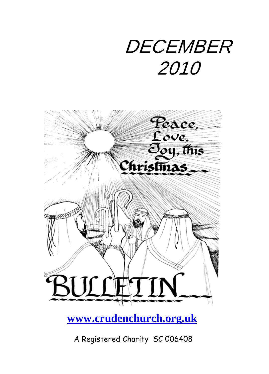# **DECEMBER** 2010



### **[www.crudenchurch.org.uk](http://www.crudenchurch.org.uk/)**

A Registered Charity SC 006408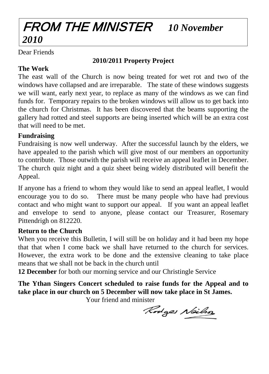### FROM THE MINISTER *10 November 2010*

Dear Friends

#### **2010/2011 Property Project**

#### **The Work**

The east wall of the Church is now being treated for wet rot and two of the windows have collapsed and are irreparable. The state of these windows suggests we will want, early next year, to replace as many of the windows as we can find funds for. Temporary repairs to the broken windows will allow us to get back into the church for Christmas. It has been discovered that the beams supporting the gallery had rotted and steel supports are being inserted which will be an extra cost that will need to be met.

#### **Fundraising**

Fundraising is now well underway. After the successful launch by the elders, we have appealed to the parish which will give most of our members an opportunity to contribute. Those outwith the parish will receive an appeal leaflet in December. The church quiz night and a quiz sheet being widely distributed will benefit the Appeal.

If anyone has a friend to whom they would like to send an appeal leaflet, I would encourage you to do so. There must be many people who have had previous contact and who might want to support our appeal. If you want an appeal leaflet and envelope to send to anyone, please contact our Treasurer, Rosemary Pittendrigh on 812220.

#### **Return to the Church**

When you receive this Bulletin, I will still be on holiday and it had been my hope that that when I come back we shall have returned to the church for services. However, the extra work to be done and the extensive cleaning to take place means that we shall not be back in the church until

**12 December** for both our morning service and our Christingle Service

**The Ythan Singers Concert scheduled to raise funds for the Appeal and to take place in our church on 5 December will now take place in St James.**

Your friend and minister

Rodges Neilso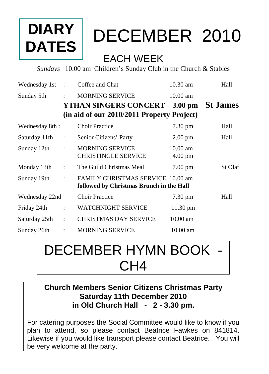## **DIARY DATES**

## DECEMBER 2010

### EACH WEEK

*Sundays* 10.00 am Children's Sunday Club in the Church & Stables

| Wednesday 1st  | $\cdot$              | Coffee and Chat                                                               | 10.30 am                                | Hall            |
|----------------|----------------------|-------------------------------------------------------------------------------|-----------------------------------------|-----------------|
| Sunday 5th     | $\ddot{\phantom{a}}$ | <b>MORNING SERVICE</b>                                                        | $10.00 \text{ am}$                      |                 |
|                |                      | <b>YTHAN SINGERS CONCERT</b>                                                  | $3.00 \text{ pm}$                       | <b>St James</b> |
|                |                      | (in aid of our 2010/2011 Property Project)                                    |                                         |                 |
| Wednesday 8th: |                      | <b>Choir Practice</b>                                                         | 7.30 pm                                 | Hall            |
| Saturday 11th  | $\ddot{\cdot}$       | Senior Citizens' Party                                                        | $2.00 \text{ pm}$                       | Hall            |
| Sunday 12th    | $\ddot{\cdot}$       | <b>MORNING SERVICE</b><br><b>CHRISTINGLE SERVICE</b>                          | $10.00 \text{ am}$<br>$4.00 \text{ pm}$ |                 |
| Monday 13th    | $\ddot{\cdot}$       | The Guild Christmas Meal                                                      | $7.00 \text{ pm}$                       | St Olaf         |
| Sunday 19th    | $\ddot{\phantom{a}}$ | FAMILY CHRISTMAS SERVICE 10.00 am<br>followed by Christmas Brunch in the Hall |                                         |                 |
| Wednesday 22nd |                      | <b>Choir Practice</b>                                                         | $7.30 \text{ pm}$                       | Hall            |
| Friday 24th    | $\ddot{\cdot}$       | <b>WATCHNIGHT SERVICE</b>                                                     | 11.30 pm                                |                 |
| Saturday 25th  | $\ddot{\phantom{a}}$ | <b>CHRISTMAS DAY SERVICE</b>                                                  | $10.00 \text{ am}$                      |                 |
| Sunday 26th    |                      | <b>MORNING SERVICE</b>                                                        | $10.00 \text{ am}$                      |                 |

## DECEMBER HYMN BOOK - CH4

#### **Church Members Senior Citizens Christmas Party Saturday 11th December 2010 in Old Church Hall - 2 - 3.30 pm.**

For catering purposes the Social Committee would like to know if you plan to attend, so please contact Beatrice Fawkes on 841814. Likewise if you would like transport please contact Beatrice. You will be very welcome at the party.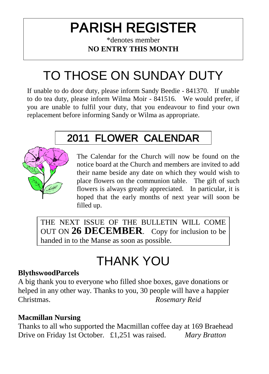## PARISH REGISTER

#### \*denotes member **NO ENTRY THIS MONTH**

## TO THOSE ON SUNDAY DUTY

If unable to do door duty, please inform Sandy Beedie - 841370. If unable to do tea duty, please inform Wilma Moir - 841516. We would prefer, if you are unable to fulfil your duty, that you endeavour to find your own replacement before informing Sandy or Wilma as appropriate.

### 2011 FLOWER CALENDAR



The Calendar for the Church will now be found on the notice board at the Church and members are invited to add their name beside any date on which they would wish to place flowers on the communion table. The gift of such flowers is always greatly appreciated. In particular, it is hoped that the early months of next year will soon be filled up.

THE NEXT ISSUE OF THE BULLETIN WILL COME OUT ON **26 DECEMBER**. Copy for inclusion to be handed in to the Manse as soon as possible.

### THANK YOU

#### **BlythswoodParcels**

A big thank you to everyone who filled shoe boxes, gave donations or helped in any other way. Thanks to you, 30 people will have a happier Christmas. *Rosemary Reid*

#### **Macmillan Nursing**

Thanks to all who supported the Macmillan coffee day at 169 Braehead Drive on Friday 1st October. £1,251 was raised. *Mary Bratton*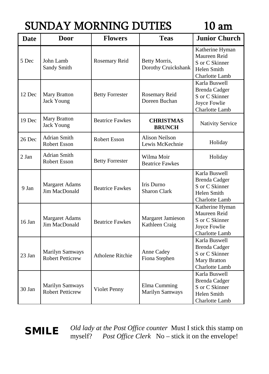### SUNDAY MORNING DUTIES 10 am

| <b>Date</b> | <b>Door</b>                                | <b>Flowers</b>          | <b>Teas</b>                              | <b>Junior Church</b>                                                                       |
|-------------|--------------------------------------------|-------------------------|------------------------------------------|--------------------------------------------------------------------------------------------|
| 5 Dec       | John Lamb<br>Sandy Smith                   | Rosemary Reid           | Betty Morris,<br>Dorothy Cruickshank     | Katherine Hyman<br>Maureen Reid<br>S or C Skinner<br>Helen Smith<br>Charlotte Lamb         |
| 12 Dec      | Mary Bratton<br><b>Jack Young</b>          | <b>Betty Forrester</b>  | Rosemary Reid<br>Doreen Buchan           | Karla Buswell<br><b>Brenda Cadger</b><br>S or C Skinner<br>Joyce Fowlie<br>Charlotte Lamb  |
| 19 Dec      | Mary Bratton<br>Jack Young                 | <b>Beatrice Fawkes</b>  | <b>CHRISTMAS</b><br><b>BRUNCH</b>        | <b>Nativity Service</b>                                                                    |
| 26 Dec      | Adrian Smith<br><b>Robert Esson</b>        | <b>Robert Esson</b>     | <b>Alison Neilson</b><br>Lewis McKechnie | Holiday                                                                                    |
| $2$ Jan     | <b>Adrian Smith</b><br><b>Robert Esson</b> | <b>Betty Forrester</b>  | Wilma Moir<br><b>Beatrice Fawkes</b>     | Holiday                                                                                    |
| 9 Jan       | Margaret Adams<br>Jim MacDonald            | <b>Beatrice Fawkes</b>  | Iris Durno<br>Sharon Clark               | Karla Buswell<br>Brenda Cadger<br>S or C Skinner<br>Helen Smith<br>Charlotte Lamb          |
| 16 Jan      | <b>Margaret Adams</b><br>Jim MacDonald     | <b>Beatrice Fawkes</b>  | Margaret Jamieson<br>Kathleen Craig      | Katherine Hyman<br>Maureen Reid<br>S or C Skinner<br>Joyce Fowlie<br><b>Charlotte Lamb</b> |
| $23$ Jan    | Marilyn Samways<br><b>Robert Petticrew</b> | <b>Atholene Ritchie</b> | Anne Cadey<br>Fiona Stephen              | Karla Buswell<br><b>Brenda Cadger</b><br>S or C Skinner<br>Mary Bratton<br>Charlotte Lamb  |
| 30 Jan      | Marilyn Samways<br><b>Robert Petticrew</b> | Violet Penny            | Elma Cumming<br><b>Marilyn Samways</b>   | Karla Buswell<br><b>Brenda Cadger</b><br>S or C Skinner<br>Helen Smith<br>Charlotte Lamb   |

*Old lady at the Post Office counter* Must I stick this stamp on **SMILE** Old lady at the Post Office counter Must I stick this stamp of myself? *Post Office Clerk* No – stick it on the envelope!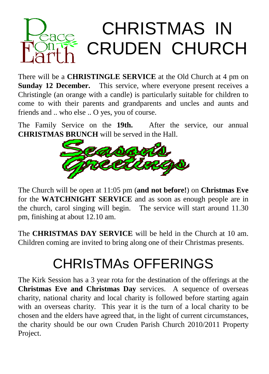

There will be a **CHRISTINGLE SERVICE** at the Old Church at 4 pm on **Sunday 12 December.** This service, where everyone present receives a Christingle (an orange with a candle) is particularly suitable for children to come to with their parents and grandparents and uncles and aunts and friends and .. who else .. O yes, you of course.

The Family Service on the **19th.** After the service, our annual **CHRISTMAS BRUNCH** will be served in the Hall.



The Church will be open at 11:05 pm (**and not before!**) on **Christmas Eve** for the **WATCHNIGHT SERVICE** and as soon as enough people are in the church, carol singing will begin. The service will start around 11.30 pm, finishing at about 12.10 am.

The **CHRISTMAS DAY SERVICE** will be held in the Church at 10 am. Children coming are invited to bring along one of their Christmas presents.

## CHRIsTMAs OFFERINGS

The Kirk Session has a 3 year rota for the destination of the offerings at the **Christmas Eve and Christmas Day** services. A sequence of overseas charity, national charity and local charity is followed before starting again with an overseas charity. This year it is the turn of a local charity to be chosen and the elders have agreed that, in the light of current circumstances, the charity should be our own Cruden Parish Church 2010/2011 Property Project.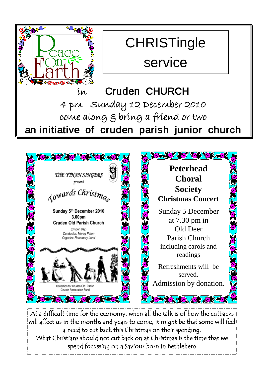

### **CHRISTingle** service

in Cruden CHURCH 4 pm Sunday 12 December 2010 come along & bring a friend or two an initiative of cruden parish junior church



At a difficult time for the economy, when all the talk is of how the cutbacks will affect us in the months and years to come, it might be that some will feel a need to cut back this Christmas on their spending. What Christians should not cut back on at Christmas is the time that we spend focussing on a Saviour born in Bethlehem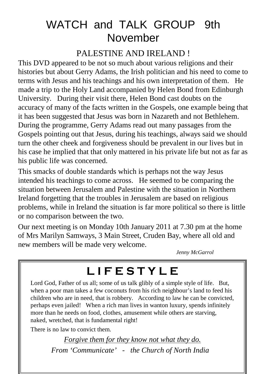### WATCH and TALK GROUP 9th November

#### PALESTINE AND IRELAND !

This DVD appeared to be not so much about various religions and their histories but about Gerry Adams, the Irish politician and his need to come to terms with Jesus and his teachings and his own interpretation of them. He made a trip to the Holy Land accompanied by Helen Bond from Edinburgh University. During their visit there, Helen Bond cast doubts on the accuracy of many of the facts written in the Gospels, one example being that it has been suggested that Jesus was born in Nazareth and not Bethlehem. During the programme, Gerry Adams read out many passages from the Gospels pointing out that Jesus, during his teachings, always said we should turn the other cheek and forgiveness should be prevalent in our lives but in his case he implied that that only mattered in his private life but not as far as his public life was concerned.

This smacks of double standards which is perhaps not the way Jesus intended his teachings to come across. He seemed to be comparing the situation between Jerusalem and Palestine with the situation in Northern Ireland forgetting that the troubles in Jerusalem are based on religious problems, while in Ireland the situation is far more political so there is little or no comparison between the two.

Our next meeting is on Monday 10th January 2011 at 7.30 pm at the home of Mrs Marilyn Samways, 3 Main Street, Cruden Bay, where all old and new members will be made very welcome.

*Jenny McGarrol*

### **L I F E S T Y L E**

Lord God, Father of us all; some of us talk glibly of a simple style of life. But, when a poor man takes a few coconuts from his rich neighbour's land to feed his children who are in need, that is robbery. According to law he can be convicted, perhaps even jailed! When a rich man lives in wanton luxury, spends infinitely more than he needs on food, clothes, amusement while others are starving, naked, wretched, that is fundamental right!

There is no law to convict them.

*Forgive them for they know not what they do. From 'Communicate' - the Church of North India*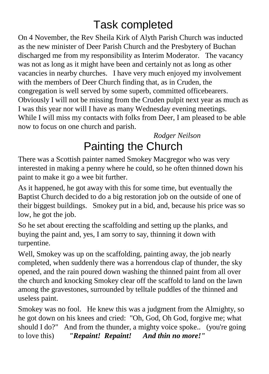### Task completed

On 4 November, the Rev Sheila Kirk of Alyth Parish Church was inducted as the new minister of Deer Parish Church and the Presbytery of Buchan discharged me from my responsibility as Interim Moderator. The vacancy was not as long as it might have been and certainly not as long as other vacancies in nearby churches. I have very much enjoyed my involvement with the members of Deer Church finding that, as in Cruden, the congregation is well served by some superb, committed officebearers. Obviously I will not be missing from the Cruden pulpit next year as much as I was this year nor will I have as many Wednesday evening meetings. While I will miss my contacts with folks from Deer, I am pleased to be able now to focus on one church and parish.

*Rodger Neilson* Painting the Church

There was a Scottish painter named Smokey Macgregor who was very interested in making a penny where he could, so he often thinned down his paint to make it go a wee bit further.

As it happened, he got away with this for some time, but eventually the Baptist Church decided to do a big restoration job on the outside of one of their biggest buildings. Smokey put in a bid, and, because his price was so low, he got the job.

So he set about erecting the scaffolding and setting up the planks, and buying the paint and, yes, I am sorry to say, thinning it down with turpentine.

Well, Smokey was up on the scaffolding, painting away, the job nearly completed, when suddenly there was a horrendous clap of thunder, the sky opened, and the rain poured down washing the thinned paint from all over the church and knocking Smokey clear off the scaffold to land on the lawn among the gravestones, surrounded by telltale puddles of the thinned and useless paint.

Smokey was no fool. He knew this was a judgment from the Almighty, so he got down on his knees and cried: "Oh, God, Oh God, forgive me; what should I do?" And from the thunder, a mighty voice spoke.. (you're going to love this) *"Repaint! Repaint! And thin no more!"*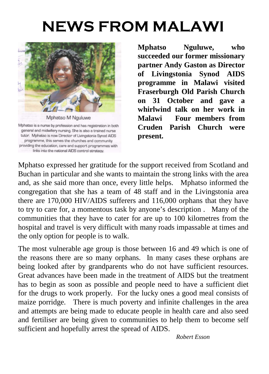## **NEWS FROM MALAWI**



Mphatso is a nurse by profession and has registration in both general and midwifery nursing. She is also a trained nurse tutor. Mphatso is now Director of Livingstonia Synod AIDS programme, this serves the churches and community providing the education, care and support programmes with links into the national AIDS control strategy.

**Mphatso Nguluwe, who succeeded our former missionary partner Andy Gaston as Director of Livingstonia Synod AIDS programme in Malawi visited Fraserburgh Old Parish Church on 31 October and gave a whirlwind talk on her work in Malawi Four members from Cruden Parish Church were present.** 

Mphatso expressed her gratitude for the support received from Scotland and Buchan in particular and she wants to maintain the strong links with the area and, as she said more than once, every little helps. Mphatso informed the congregation that she has a team of 48 staff and in the Livingstonia area there are 170,000 HIV/AIDS sufferers and 116,000 orphans that they have to try to care for, a momentous task by anyone's description . Many of the communities that they have to cater for are up to 100 kilometres from the hospital and travel is very difficult with many roads impassable at times and the only option for people is to walk.

The most vulnerable age group is those between 16 and 49 which is one of the reasons there are so many orphans. In many cases these orphans are being looked after by grandparents who do not have sufficient resources. Great advances have been made in the treatment of AIDS but the treatment has to begin as soon as possible and people need to have a sufficient diet for the drugs to work properly. For the lucky ones a good meal consists of maize porridge. There is much poverty and infinite challenges in the area and attempts are being made to educate people in health care and also seed and fertiliser are being given to communities to help them to become self sufficient and hopefully arrest the spread of AIDS.

*Robert Esson*